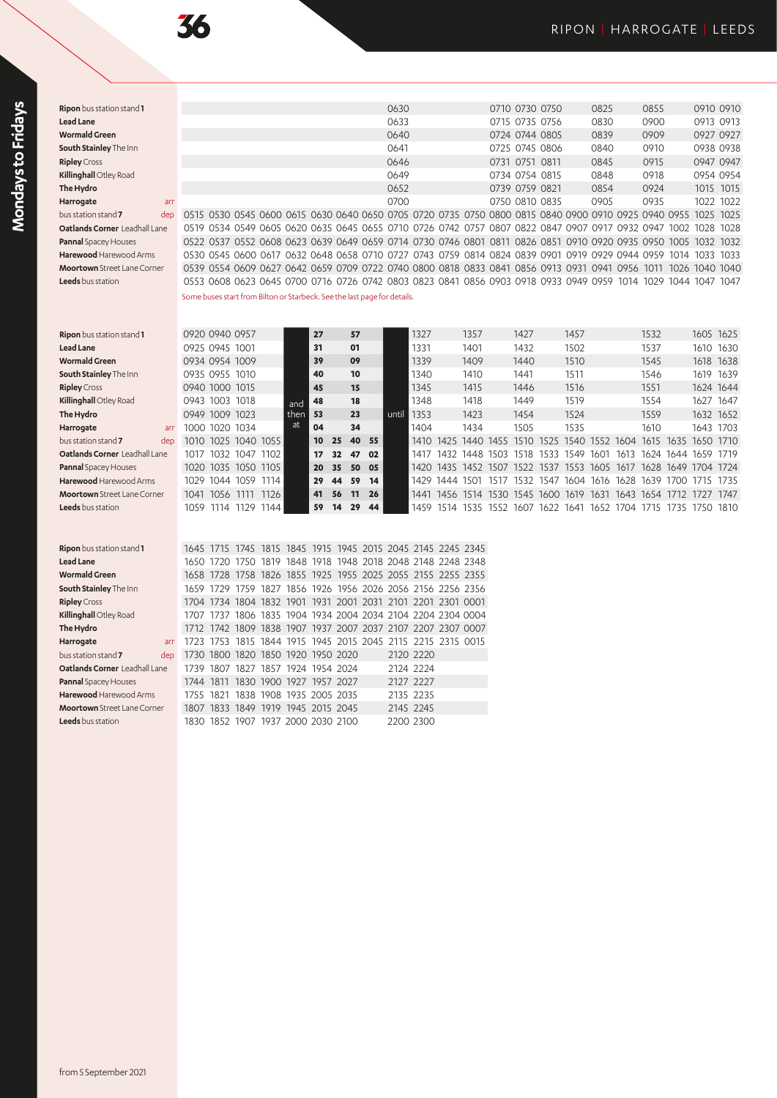Mondays to Fridays **Mondays to Fridays**

| <b>Lead Lane</b>                     |      |                                                                                                               |  |  |  | 0633 |  |                | 0715 0735 0756 |                | 0830 | 0900 | 0913 0913      |      |
|--------------------------------------|------|---------------------------------------------------------------------------------------------------------------|--|--|--|------|--|----------------|----------------|----------------|------|------|----------------|------|
| <b>Wormald Green</b>                 |      |                                                                                                               |  |  |  | 0640 |  |                | 0724 0744 0805 |                | 0839 | 0909 | 0927 0927      |      |
| South Stainley The Inn               |      |                                                                                                               |  |  |  | 0641 |  |                |                | 0725 0745 0806 | 0840 | 0910 | 0938 0938      |      |
| <b>Ripley</b> Cross                  |      |                                                                                                               |  |  |  | 0646 |  | 0731 0751 0811 |                |                | 0845 | 0915 | 0947 0947      |      |
| Killinghall Otley Road               |      |                                                                                                               |  |  |  | 0649 |  |                | 0734 0754 0815 |                | 0848 | 0918 | 0954 0954      |      |
| The Hydro                            |      |                                                                                                               |  |  |  | 0652 |  | 0739 0759 0821 |                |                | 0854 | 0924 | 1015 1015      |      |
| Harrogate                            | arr  |                                                                                                               |  |  |  | 0700 |  | 0750 0810 0835 |                |                | 0905 | 0935 | 1022 1022      |      |
| bus station stand 7                  | dep. | 0515 0530 0545 0600 0615 0630 0640 0650 0705 0720 0735 0750 0800 0815 0840 0900 0910 0925 0940 0955           |  |  |  |      |  |                |                |                |      |      | 1025 1025      |      |
| <b>Oatlands Corner</b> Leadhall Lane |      | 0519 0534 0549 0605 0620 0635 0645 0655 0710 0726 0742 0757 0807 0822 0847 0907 0917 0932 0947 1002           |  |  |  |      |  |                |                |                |      |      | 1028 1028      |      |
| <b>Pannal Spacey Houses</b>          |      | 0522 0537 0552 0608 0623 0639 0649 0659 0714 0730 0746 0801 0811 0826 0851 0910 0920 0935 0950 1005 1032 1032 |  |  |  |      |  |                |                |                |      |      |                |      |
| Harewood Harewood Arms               |      | 0530 0545 0600 0617 0632 0648 0658 0710 0727 0743 0759 0814 0824 0839 0901 0919 0929 0944 0959                |  |  |  |      |  |                |                |                |      |      | 1014 1033      | 1033 |
| <b>Moortown</b> Street Lane Corner   |      | 0539 0554 0609 0627 0642 0659 0709 0722 0740 0800 0818 0833 0841 0856 0913 0931 0941 0956 1011                |  |  |  |      |  |                |                |                |      |      | 1026 1040 1040 |      |
| <b>Leeds</b> bus station             |      | 0553 0608 0623 0645 0700 0716 0726 0742 0803 0823 0841 0856 0903 0918 0933 0949 0959 1014 1029 1044 1047 1047 |  |  |  |      |  |                |                |                |      |      |                |      |
|                                      |      | Some buses start from Bilton or Starbeck. See the last page for details.                                      |  |  |  |      |  |                |                |                |      |      |                |      |

| Ripon bus station stand 1          |       |                | 0920 0940 0957 |                |      | 27 |    | 57 |      |       | 1327 |           | 1357                          |           | 1427      |           | 1457 |           |                     | 1532 |           | 1605 1625 |           |
|------------------------------------|-------|----------------|----------------|----------------|------|----|----|----|------|-------|------|-----------|-------------------------------|-----------|-----------|-----------|------|-----------|---------------------|------|-----------|-----------|-----------|
| <b>Lead Lane</b>                   |       | 0925 0945 1001 |                |                |      | 31 |    | 01 |      |       | 1331 |           | 1401                          |           | 1432      |           | 1502 |           |                     | 1537 |           |           | 1610 1630 |
| <b>Wormald Green</b>               |       |                | 0934 0954 1009 |                |      | 39 |    | 09 |      |       | 1339 |           | 1409                          |           | 1440      |           | 1510 |           |                     | 1545 |           |           | 1618 1638 |
| South Stainley The Inn             |       |                | 0935 0955 1010 |                |      | 40 |    | 10 |      |       | 1340 |           | 1410                          |           | 1441      |           | 1511 |           |                     | 1546 |           | 1619      | 1639      |
| <b>Ripley</b> Cross                |       |                | 0940 1000 1015 |                |      | 45 |    | 15 |      |       | 1345 |           | 1415                          |           | 1446      |           | 1516 |           |                     | 1551 |           | 1624 1644 |           |
| Killinghall Otley Road             |       |                | 0943 1003 1018 |                | and  | 48 |    | 18 |      |       | 1348 |           | 1418                          |           | 1449      |           | 1519 |           |                     | 1554 |           | 1627 1647 |           |
| The Hydro                          |       |                | 0949 1009 1023 |                | then | 53 |    | 23 |      | until | 1353 |           | 1423                          |           | 1454      |           | 1524 |           |                     | 1559 |           | 1632 1652 |           |
| Harrogate<br>arr                   | 1000. |                | 1020 1034      |                | at   | 04 |    | 34 |      |       | 1404 |           | 1434                          |           | 1505      |           | 1535 |           |                     | 1610 |           | 1643 1703 |           |
| bus station stand 7<br>dep         | 1010  |                |                | 1025 1040 1055 |      | 10 | 25 | 40 | - 55 |       |      |           | 1410 1425 1440 1455 1510 1525 |           |           |           |      | 1540 1552 | 1604                |      | 1615 1635 | 1650 1710 |           |
| Oatlands Corner Leadhall Lane      | 1017  | 1032           | 1047           | 1102           |      | 17 | 32 | 47 | 02   |       | 1417 | 1432      |                               | 1448 1503 |           | 1518 1533 | 1549 | 1601      | 1613                | 1624 | 1644      | 1659      | 1719      |
| Pannal Spacey Houses               |       |                | 1020 1035 1050 | 1105           |      | 20 | 35 | 50 | 05   |       |      |           | 1420 1435 1452 1507           |           | 1522 1537 |           | 1553 | 1605      | 1617                |      | 1628 1649 | 1704      | 1724      |
| Harewood Harewood Arms             | 1029  |                | 1044 1059      | 1114           |      | 29 | 44 | 59 | 14   |       | 1429 | 1444 1501 |                               | 1517      | 1532 1547 |           | 1604 | 1616      | 1628                | 1639 | 1700      | 1715      | 1735      |
| <b>Moortown</b> Street Lane Corner | 1041  | 1056           | 1111           | 1126           |      | 41 | 56 | 11 | 26   |       | 1441 |           | 1456 1514 1530 1545 1600 1619 |           |           |           |      |           | 1631 1643 1654 1712 |      |           | 1727      | 1747      |
| <b>Leeds</b> bus station           | 1059  |                | 1114 1129      | 144            |      | 59 | 14 | 29 | 44   |       | 1459 |           | 1514 1535                     | 1552      | 1607      | 1622 1641 |      |           | 1652 1704           | 1715 | 735       | 1750      | 1810      |

**Ripon** bus station stand **1** 0630 0710 0730 0750 0825 0855 0910 0910

|  |  |  | 1739 1807 1827 1857 1924 1954 2024<br>1744 1811 1830 1900 1927 1957 2027<br>1755 1821 1838 1908 1935 2005 2035<br>1807 1833 1849 1919 1945 2015 2045<br>1830 1852 1907 1937 2000 2030 2100 | 1730 1800 1820 1850 1920 1950 2020 | 2120 2220<br>2124 2224<br>2127 2227<br>2135 2235<br>2145 2245<br>2200 2300 | 1645 1715 1745 1815 1845 1915 1945 2015 2045 2145 2245 2345<br>1650 1720 1750 1819 1848 1918 1948 2018 2048 2148 2248 2348<br>1658 1728 1758 1826 1855 1925 1955 2025 2055 2155 2255 2355<br>1659 1729 1759 1827 1856 1926 1956 2026 2056 2156 2256 2356<br>1704 1734 1804 1832 1901 1931 2001 2031 2101 2201 2301 0001<br>1707 1737 1806 1835 1904 1934 2004 2034 2104 2204 2304 0004<br>1712 1742 1809 1838 1907 1937 2007 2037 2107 2207 2307 0007<br>1723 1753 1815 1844 1915 1945 2015 2045 2115 2215 2315 0015 |
|--|--|--|--------------------------------------------------------------------------------------------------------------------------------------------------------------------------------------------|------------------------------------|----------------------------------------------------------------------------|----------------------------------------------------------------------------------------------------------------------------------------------------------------------------------------------------------------------------------------------------------------------------------------------------------------------------------------------------------------------------------------------------------------------------------------------------------------------------------------------------------------------|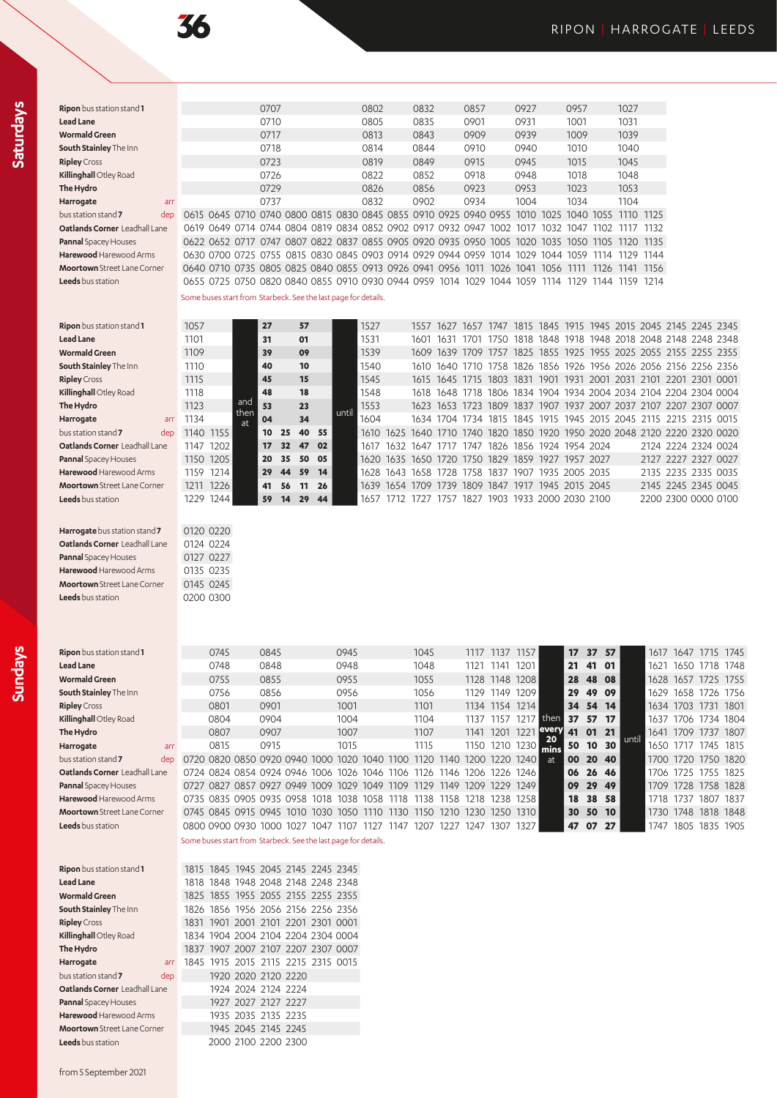36

**Saturdays**

| Ripon bus station stand 1            |                                                                                           | 0707 |  | 0802 | 0832 | 0857 |      | 0927 |      | 0957      |           | 1027 |        |
|--------------------------------------|-------------------------------------------------------------------------------------------|------|--|------|------|------|------|------|------|-----------|-----------|------|--------|
| <b>Lead Lane</b>                     |                                                                                           | 0710 |  | 0805 | 0835 | 0901 |      | 0931 |      | 1001      |           | 1031 |        |
| <b>Wormald Green</b>                 |                                                                                           | 0717 |  | 0813 | 0843 | 0909 |      | 0939 |      | 1009      |           | 1039 |        |
| South Stainley The Inn               |                                                                                           | 0718 |  | 0814 | 0844 | 0910 |      | 0940 |      | 1010      |           | 1040 |        |
| <b>Ripley</b> Cross                  |                                                                                           | 0723 |  | 0819 | 0849 | 0915 |      | 0945 |      | 1015      |           | 1045 |        |
| Killinghall Otley Road               |                                                                                           | 0726 |  | 0822 | 0852 | 0918 |      | 0948 |      | 1018      |           | 1048 |        |
| The Hydro                            |                                                                                           | 0729 |  | 0826 | 0856 | 0923 |      | 0953 |      | 1023      |           | 1053 |        |
| Harrogate<br>arr                     |                                                                                           | 0737 |  | 0832 | 0902 | 0934 |      | 1004 |      | 1034      |           | 1104 |        |
| bus station stand 7<br>dep           | 0615 0645 0710 0740 0800 0815 0830 0845 0855 0910 0925 0940 0955 1010 1025 1040 1055 1110 |      |  |      |      |      |      |      |      |           |           |      | 1125   |
| <b>Oatlands Corner</b> Leadhall Lane | 0619 0649 0714 0744 0804 0819 0834 0852 0902 0917 0932 0947 1002                          |      |  |      |      |      |      | 1017 |      | 1032 1047 | 1102      | 1117 | 1132   |
| Pannal Spacey Houses                 | 0622 0652 0717 0747 0807 0822 0837 0855 0905 0920 0935 0950 1005 1020 1035 1050 1105 1120 |      |  |      |      |      |      |      |      |           |           |      | 1135   |
| Harewood Harewood Arms               | 0630 0700 0725 0755 0815 0830 0845 0903 0914 0929 0944 0959                               |      |  |      |      |      | 1014 | 1029 | 1044 | 1059      | 1114      | 1129 | 1144   |
| <b>Moortown</b> Street Lane Corner   | 0640 0710 0735 0805 0825 0840 0855 0913 0926 0941 0956 1011 1026 1041 1056 1111 1126 1141 |      |  |      |      |      |      |      |      |           |           |      | - 1156 |
| <b>Leeds</b> bus station             | 0655 0725 0750 0820 0840 0855 0910 0930 0944 0959 1014 1029 1044 1059 1114 1129           |      |  |      |      |      |      |      |      |           | 1144 1159 |      | 1214   |
|                                      | Some buses start from Starbeck. See the last page for details.                            |      |  |      |      |      |      |      |      |           |           |      |        |
|                                      |                                                                                           |      |  |      |      |      |      |      |      |           |           |      |        |

| Ripon bus station stand 1                        | 1057 |           |            | 27 |     | 57    |    |       | 1527  |                                                   | 1557      | 1627      | 1657                     | 1747                     |                |                |      |  | 1815 1845 1915 1945 2015 2045 2145 2245 2345                     |  |
|--------------------------------------------------|------|-----------|------------|----|-----|-------|----|-------|-------|---------------------------------------------------|-----------|-----------|--------------------------|--------------------------|----------------|----------------|------|--|------------------------------------------------------------------|--|
| Lead Lane                                        | 1101 |           |            | 31 |     | 01    |    |       | 1531  |                                                   | 1601      | 1631      | 1701                     | 1750                     |                |                |      |  | 1818 1848 1918 1948 2018 2048 2148 2248 2348                     |  |
| Wormald Green                                    | 1109 |           |            | 39 |     | 09    |    |       | 1539  |                                                   |           | 1609 1639 | 1709                     | 1757                     |                |                |      |  | 1825 1855 1925 1955 2025 2055 2155 2255 2355                     |  |
| South Stainley The Inn                           | 1110 |           |            | 40 |     | 10    |    |       | 1540  |                                                   |           |           |                          |                          |                |                |      |  | 1610 1640 1710 1758 1826 1856 1926 1956 2026 2056 2156 2256 2356 |  |
| <b>Ripley</b> Cross                              | 1115 |           |            | 45 |     | 15    |    |       | 1545  |                                                   |           |           | 1615 1645 1715 1803 1831 |                          | 1901           | 1931           | 2001 |  | 2031 2101 2201 2301 0001                                         |  |
| Killinghall Otley Road                           | 1118 |           |            | 48 |     | 18    |    |       | 1548  |                                                   |           |           |                          |                          |                |                |      |  | 1618 1648 1718 1806 1834 1904 1934 2004 2034 2104 2204 2304 0004 |  |
| The Hydro                                        | 1123 |           | and        | 53 |     | 23    |    | until | 1553  |                                                   |           |           |                          |                          |                |                |      |  | 1623 1653 1723 1809 1837 1907 1937 2007 2037 2107 2207 2307 0007 |  |
| Harrogate<br>arr                                 | 1134 |           | then<br>at | 04 |     | 34    |    |       | 1604  |                                                   |           |           |                          |                          |                |                |      |  | 1634 1704 1734 1815 1845 1915 1945 2015 2045 2115 2215 2315 0015 |  |
| bus station stand $\overline{\mathbf{7}}$<br>dep |      | 1140 1155 |            | 10 | 25  | 40 55 |    |       | 1610  | 1625                                              |           |           |                          |                          |                |                |      |  | 1640 1710 1740 1820 1850 1920 1950 2020 2048 2120 2220 2320 0020 |  |
| <b>Oatlands Corner</b> Leadhall Lane             | 1147 | 1202      |            | 17 | 32  | 47    | 02 |       | 1617  | 1632                                              | 1647      | 1717      | 1747                     | 1826 1856 1924 1954 2024 |                |                |      |  | 2124 2224 2324 0024                                              |  |
| Pannal Spacey Houses                             |      | 1150 1205 |            | 20 | 35  | 50 05 |    |       |       | 1620 1635 1650 1720 1750 1829 1859 1927 1957 2027 |           |           |                          |                          |                |                |      |  | 2127 2227 2327 0027                                              |  |
| <b>Harewood</b> Harewood Arms                    | 1159 | 1214      |            | 29 | 44  | 59    | 14 |       | 1628. |                                                   |           |           | 1643 1658 1728 1758      | 1837 1907                |                | 1935 2005 2035 |      |  | 2135 2235 2335 0035                                              |  |
| <b>Moortown</b> Street Lane Corner               |      | 1211 1226 |            | 41 | -56 | 11    | 26 |       |       | 1639 1654                                         | 1709 1739 |           |                          | 1809 1847 1917           | 1945 2015 2045 |                |      |  | 2145 2245 2345 0045                                              |  |
| <b>Leeds</b> bus station                         | 1229 | 1244      |            | 59 | 14  | 29    | 44 |       | 1657  |                                                   | 1727      | 1757      | 1827                     | 1903 1933 2000 2030 2100 |                |                |      |  | 2200 2300 0000 0100                                              |  |
|                                                  |      |           |            |    |     |       |    |       |       |                                                   |           |           |                          |                          |                |                |      |  |                                                                  |  |

| Harrogate bus station stand 7      | 0120 0220 |
|------------------------------------|-----------|
| Oatlands Corner Leadhall Lane      | 0124 0224 |
| <b>Pannal Spacey Houses</b>        | 0127 0227 |
| Harewood Harewood Arms             | 0135 0235 |
| <b>Moortown</b> Street Lane Corner | 0145 0245 |
| Leeds bus station                  | 0200 0300 |

| Ripon bus station stand 1          |                                              | 0745 | 0845 |      | 0945 |      |      | 1045 |           |                   | 1117 1137 1157 |                |               |    | 17 37 57 |       |      |                | 1617 1647 1715 1745 |      |
|------------------------------------|----------------------------------------------|------|------|------|------|------|------|------|-----------|-------------------|----------------|----------------|---------------|----|----------|-------|------|----------------|---------------------|------|
| <b>Lead Lane</b>                   |                                              | 0748 | 0848 |      | 0948 |      |      | 1048 |           | 1121              | 1141           | 1201           |               |    | 21 41 01 |       |      |                | 1621 1650 1718 1748 |      |
| Wormald Green                      |                                              | 0755 | 0855 |      | 0955 |      |      | 1055 |           |                   |                | 1128 1148 1208 |               |    | 28 48 08 |       |      |                | 1628 1657 1725 1755 |      |
| South Stainley The Inn             |                                              | 0756 | 0856 |      | 0956 |      |      | 1056 |           | 1129              | 1149           | 1209 l         |               |    | 29 49 09 |       |      |                | 1629 1658 1726 1756 |      |
| <b>Ripley</b> Cross                |                                              | 0801 | 0901 |      | 1001 |      |      | 1101 |           |                   |                | 1134 1154 1214 |               |    | 34 54 14 |       |      |                | 1634 1703 1731 1801 |      |
| Killinghall Otley Road             |                                              | 0804 | 0904 |      | 1004 |      |      | 1104 |           | 1137              | 1157           | 1217           | then          |    | 37 57 17 |       |      |                | 1637 1706 1734 1804 |      |
| The Hydro                          |                                              | 0807 | 0907 |      | 1007 |      |      | 1107 |           | 1141              | 1201           | 1221           | every         | 41 | 0121     |       |      |                | 1641 1709 1737 1807 |      |
| Harrogate<br>arr                   |                                              | 0815 | 0915 |      | 1015 |      |      | 1115 |           |                   |                | 1150 1210 1230 | mins          | 50 | 10 30    | until |      | 1650 1717 1745 |                     | 1815 |
| bus station stand 7<br>dep         | 0720 0820 0850 0920 0940 1000 1020 1040 1100 |      |      |      |      |      |      |      | 1120 1140 | 1200 <sub>0</sub> |                | 1220 1240      | <sub>at</sub> | 00 | 20 40    |       |      |                | 1700 1720 1750 1820 |      |
| Oatlands Corner Leadhall Lane      | 0724 0824 0854 0924 0946 1006 1026 1046 1106 |      |      |      |      |      |      | 1126 |           | 1146 1206         |                | 1226 1246 l    |               |    | 06 26 46 |       | 1706 |                | 1725 1755 1825      |      |
| Pannal Spacey Houses               | 0727 0827 0857 0927 0949 1009 1029 1049 1109 |      |      |      |      |      |      | 1129 | 1149      | 1209              |                | 1229 1249      |               |    | 09 29 49 |       |      |                | 1709 1728 1758 1828 |      |
| <b>Harewood</b> Harewood Arms      | 0735 0835 0905 0935 0958 1018 1038 1058 1118 |      |      |      |      |      |      | 1138 | 1158      | 1218              |                | 1238 1258 1    |               |    | 18 38 58 |       | 1718 | 1737           | 1807 1837           |      |
| <b>Moortown</b> Street Lane Corner | 0745 0845 0915 0945 1010 1030 1050 1110 1130 |      |      |      |      |      |      | 1150 | 1210      | 1230              |                | 1250 1310      |               |    | 30 50 10 |       |      |                | 1730 1748 1818 1848 |      |
| <b>Leeds</b> bus station           | 0800 0900 0930 1000 1027                     |      |      | 1047 | 1107 | 1127 | 1147 | 1207 | 1227      | 1247              | 1307           | 1327 I         |               | 47 | 07 27    |       | 1747 | 1805           | 1835 1905           |      |
|                                    |                                              |      |      |      |      |      |      |      |           |                   |                |                |               |    |          |       |      |                |                     |      |

Some buses start from Starbeck. See the last page for details.

| Ripon bus station stand 1          |  | 1815 1845 1945 2045 2145 2245 2345 |  |  |
|------------------------------------|--|------------------------------------|--|--|
| Lead Lane                          |  | 1818 1848 1948 2048 2148 2248 2348 |  |  |
| <b>Wormald Green</b>               |  | 1825 1855 1955 2055 2155 2255 2355 |  |  |
| South Stainley The Inn             |  | 1826 1856 1956 2056 2156 2256 2356 |  |  |
| <b>Ripley</b> Cross                |  | 1831 1901 2001 2101 2201 2301 0001 |  |  |
| Killinghall Otley Road             |  | 1834 1904 2004 2104 2204 2304 0004 |  |  |
| The Hydro                          |  | 1837 1907 2007 2107 2207 2307 0007 |  |  |
| Harrogate<br>arr                   |  | 1845 1915 2015 2115 2215 2315 0015 |  |  |
| bus station stand 7<br>dep         |  | 1920 2020 2120 2220                |  |  |
| Oatlands Corner Leadhall Lane      |  | 1924 2024 2124 2224                |  |  |
| Pannal Spacey Houses               |  | 1927 2027 2127 2227                |  |  |
| <b>Harewood</b> Harewood Arms      |  | 1935 2035 2135 2235                |  |  |
| <b>Moortown</b> Street Lane Corner |  | 1945 2045 2145 2245                |  |  |
| <b>Leeds</b> bus station           |  | 2000 2100 2200 2300                |  |  |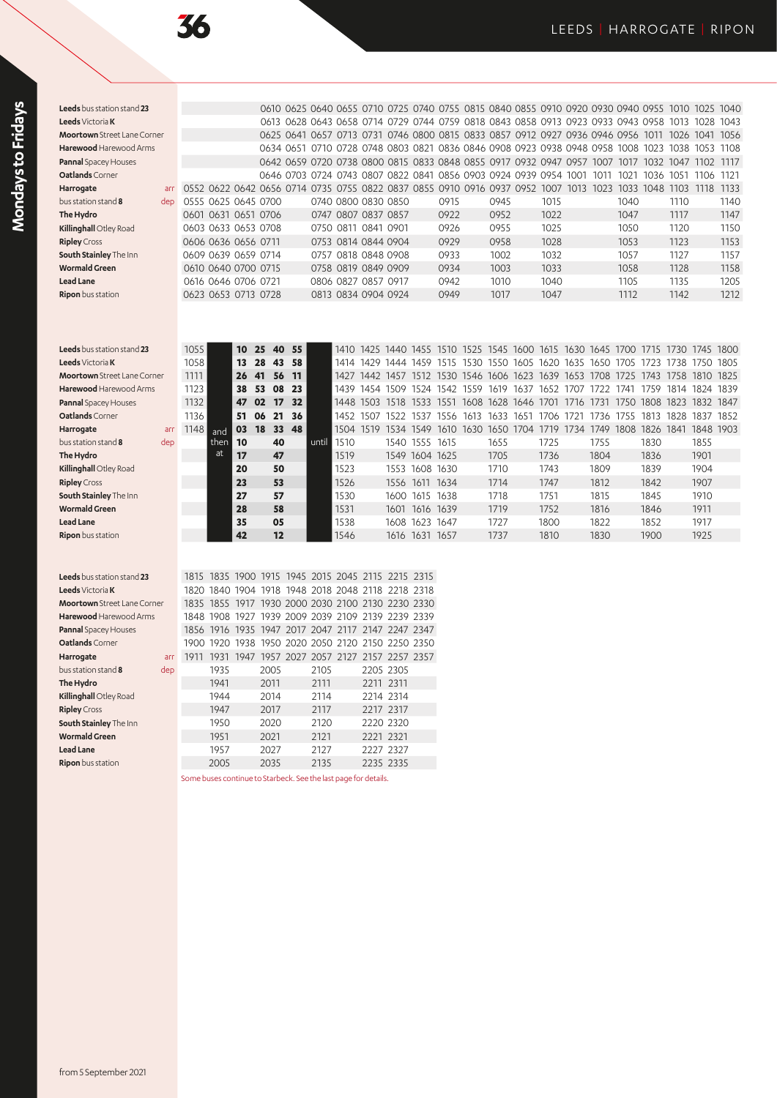| 1 |
|---|
|   |
|   |
|   |
|   |
|   |
|   |
|   |
|   |
|   |
|   |
|   |
|   |
|   |
|   |
|   |
|   |
|   |

| Leeds bus station stand 23        |      |                     |          |                                                                                                          |          |       |                     |           | 0610 0625 0640 0655 0710 0725 0740 0755 0815 0840 0855 0910 0920 0930 0940 0955 1010 1025 1040 |                |           |           |                                                                  |                |      |      |      |                     |      |      |
|-----------------------------------|------|---------------------|----------|----------------------------------------------------------------------------------------------------------|----------|-------|---------------------|-----------|------------------------------------------------------------------------------------------------|----------------|-----------|-----------|------------------------------------------------------------------|----------------|------|------|------|---------------------|------|------|
| Leeds Victoria K                  |      |                     |          |                                                                                                          |          |       |                     |           | 0613 0628 0643 0658 0714 0729 0744 0759 0818 0843 0858 0913 0923 0933 0943 0958                |                |           |           |                                                                  |                |      |      |      | 1013                | 1028 | 1043 |
| Moortown Street Lane Corner       |      |                     |          |                                                                                                          |          |       |                     |           | 0625 0641 0657 0713 0731 0746 0800 0815 0833 0857 0912 0927 0936 0946 0956 1011 1026 1041 1056 |                |           |           |                                                                  |                |      |      |      |                     |      |      |
| Harewood Harewood Arms            |      |                     |          |                                                                                                          |          |       |                     |           | 0634 0651 0710 0728 0748 0803 0821 0836 0846 0908 0923 0938 0948 0958 1008 1023 1038 1053 1108 |                |           |           |                                                                  |                |      |      |      |                     |      |      |
| <b>Pannal</b> Spacey Houses       |      |                     |          |                                                                                                          |          |       |                     |           | 0642 0659 0720 0738 0800 0815 0833 0848 0855 0917 0932 0947 0957 1007 1017 1032 1047 1102 1117 |                |           |           |                                                                  |                |      |      |      |                     |      |      |
| Oatlands Corner                   |      |                     |          |                                                                                                          |          |       |                     |           | 0646 0703 0724 0743 0807 0822 0841 0856 0903 0924 0939 0954 1001                               |                |           |           |                                                                  |                | 1011 |      |      | 1021 1036 1051 1106 |      | 1121 |
| Harrogate<br>arr                  |      |                     |          | 0552 0622 0642 0656 0714 0735 0755 0822 0837 0855 0910 0916 0937 0952 1007 1013 1023 1033 1048 1103 1118 |          |       |                     |           |                                                                                                |                |           |           |                                                                  |                |      |      |      |                     |      | 1133 |
| bus station stand 8<br>dep        |      | 0555 0625 0645 0700 |          |                                                                                                          |          |       |                     |           | 0740 0800 0830 0850                                                                            |                | 0915      | 0945      |                                                                  | 1015           |      | 1040 |      | 1110                |      | 1140 |
| The Hydro                         |      | 0601 0631 0651 0706 |          |                                                                                                          |          |       | 0747 0807 0837 0857 |           |                                                                                                |                | 0922      | 0952      |                                                                  | 1022           |      | 1047 |      | 1117                |      | 1147 |
| Killinghall Otley Road            |      | 0603 0633 0653 0708 |          |                                                                                                          |          |       | 0750 0811 0841 0901 |           |                                                                                                |                | 0926      | 0955      |                                                                  | 1025           |      | 1050 |      | 1120                |      | 1150 |
| <b>Ripley</b> Cross               |      | 0606 0636 0656 0711 |          |                                                                                                          |          |       |                     |           | 0753 0814 0844 0904                                                                            |                | 0929      | 0958      |                                                                  | 1028           |      | 1053 |      | 1123                |      | 1153 |
| South Stainley The Inn            |      | 0609 0639 0659 0714 |          |                                                                                                          |          |       |                     |           | 0757 0818 0848 0908                                                                            |                | 0933      | 1002      |                                                                  | 1032           |      | 1057 |      | 1127                |      | 1157 |
| <b>Wormald Green</b>              |      | 0610 0640 0700 0715 |          |                                                                                                          |          |       |                     |           | 0758 0819 0849 0909                                                                            |                | 0934      | 1003      |                                                                  | 1033           |      | 1058 |      | 1128                |      | 1158 |
| <b>Lead Lane</b>                  |      | 0616 0646 0706 0721 |          |                                                                                                          |          |       | 0806 0827 0857 0917 |           |                                                                                                |                | 0942      | 1010      |                                                                  | 1040           |      | 1105 |      | 1135                |      | 1205 |
| <b>Ripon</b> bus station          |      | 0623 0653 0713 0728 |          |                                                                                                          |          |       |                     |           | 0813 0834 0904 0924                                                                            |                | 0949      | 1017      |                                                                  | 1047           |      | 1112 |      | 1142                |      | 1212 |
| <b>Leeds</b> bus station stand 23 | 1055 |                     |          |                                                                                                          |          |       | 1410                |           |                                                                                                |                |           |           |                                                                  |                |      |      |      | 1730 1745 1800      |      |      |
| Leeds Victoria K                  | 1058 |                     | 10<br>13 | 25<br>40<br>28<br>43                                                                                     | 55<br>58 |       | 1414                |           | 1425 1440 1455 1510 1525 1545 1600 1615 1630 1645 1700 1715<br>1429 1444 1459                  |                | 1515      |           | 1530 1550 1605 1620 1635 1650 1705 1723                          |                |      |      |      | 1738 1750           |      | 1805 |
| Moortown Street Lane Corner       | 1111 |                     | 26       | 41<br>56                                                                                                 | 11       |       | 1427                | 1442 1457 |                                                                                                |                |           |           | 1512 1530 1546 1606 1623 1639 1653 1708 1725 1743 1758 1810 1825 |                |      |      |      |                     |      |      |
| <b>Harewood</b> Harewood Arms     | 1123 |                     | 38       | 53<br>08                                                                                                 | 23       |       | 1439                | 1454 1509 |                                                                                                | 1524           | 1542 1559 | 1619      | 1637                                                             | 1652 1707 1722 |      | 1741 | 1759 | 1814                | 1824 | 1839 |
| Pannal Spacey Houses              | 1132 |                     | 47       | 02<br>17                                                                                                 | 32       |       | 1448                |           | 1503 1518 1533 1551 1608 1628 1646 1701 1716 1731 1750 1808 1823 1832 1847                     |                |           |           |                                                                  |                |      |      |      |                     |      |      |
| Oatlands Corner                   | 1136 |                     | 51       | 06<br>21                                                                                                 | 36       |       | 1452                | 1507      | 1522                                                                                           | 1537           | 1556 1613 | 1633 1651 |                                                                  | 1706 1721 1736 |      | 1755 |      | 1813 1828 1837      |      | 1852 |
| Harrogate<br>arr                  | 1148 |                     | 03       | 18<br>33                                                                                                 | 48       |       |                     |           | 1504 1519 1534 1549 1610 1630 1650 1704 1719 1734 1749 1808 1826 1841 1848 1903                |                |           |           |                                                                  |                |      |      |      |                     |      |      |
| bus station stand 8<br>dep        |      | and<br>then         | 10       | 40                                                                                                       |          | until | 1510                |           | 1540 1555 1615                                                                                 |                |           | 1655      |                                                                  | 1725           | 1755 |      | 1830 |                     | 1855 |      |
| The Hydro                         |      | at                  | 17       | 47                                                                                                       |          |       | 1519                |           | 1549 1604 1625                                                                                 |                |           | 1705      |                                                                  | 1736           | 1804 |      | 1836 |                     | 1901 |      |
| Killinghall Otley Road            |      |                     | 20       | 50                                                                                                       |          |       | 1523                |           |                                                                                                | 1553 1608 1630 |           | 1710      |                                                                  | 1743           | 1809 |      | 1839 |                     | 1904 |      |
| <b>Ripley</b> Cross               |      |                     | 23       | 53                                                                                                       |          |       | 1526                |           | 1556 1611 1634                                                                                 |                |           | 1714      |                                                                  | 1747           | 1812 |      | 1842 |                     | 1907 |      |
| South Stainley The Inn            |      |                     | 27       | 57                                                                                                       |          |       | 1530                |           | 1600 1615 1638                                                                                 |                |           | 1718      |                                                                  | 1751           | 1815 |      | 1845 |                     | 1910 |      |
| <b>Wormald Green</b>              |      |                     | 28       | 58                                                                                                       |          |       | 1531                |           | 1601 1616 1639                                                                                 |                |           | 1719      |                                                                  | 1752           | 1816 |      | 1846 |                     | 1911 |      |
| <b>Lead Lane</b>                  |      |                     | 35       | 05                                                                                                       |          |       | 1538                |           |                                                                                                | 1608 1623 1647 |           | 1727      |                                                                  | 1800           | 1822 |      | 1852 |                     | 1917 |      |
| Ripon bus station                 |      |                     | 42       | 12                                                                                                       |          |       | 1546                |           |                                                                                                | 1616 1631 1657 |           | 1737      |                                                                  | 1810           | 1830 |      | 1900 |                     | 1925 |      |
| Leeds bus station stand 23        |      |                     |          | 1815 1835 1900 1915 1945 2015 2045 2115 2215 2315                                                        |          |       |                     |           |                                                                                                |                |           |           |                                                                  |                |      |      |      |                     |      |      |
| Leeds Victoria K                  |      |                     |          | 1820 1840 1904 1918 1948 2018 2048 2118 2218 2318                                                        |          |       |                     |           |                                                                                                |                |           |           |                                                                  |                |      |      |      |                     |      |      |
| Moortown Street Lane Corner       | 1835 | 1855                |          | 1917 1930 2000 2030 2100 2130 2230 2330                                                                  |          |       |                     |           |                                                                                                |                |           |           |                                                                  |                |      |      |      |                     |      |      |
| Harewood Harewood Arms            |      |                     |          | 1848 1908 1927 1939 2009 2039 2109 2139 2239 2339                                                        |          |       |                     |           |                                                                                                |                |           |           |                                                                  |                |      |      |      |                     |      |      |
| Pannal Spacey Houses              |      | 1856 1916           | 1935     | 1947 2017 2047 2117 2147 2247 2347                                                                       |          |       |                     |           |                                                                                                |                |           |           |                                                                  |                |      |      |      |                     |      |      |
| Oatlands Corner                   |      |                     |          | 1900 1920 1938 1950 2020 2050 2120 2150 2250 2350                                                        |          |       |                     |           |                                                                                                |                |           |           |                                                                  |                |      |      |      |                     |      |      |
| Harrogate<br>arr                  |      | 1911 1931 1947      |          | 1957 2027 2057 2127 2157 2257 2357                                                                       |          |       |                     |           |                                                                                                |                |           |           |                                                                  |                |      |      |      |                     |      |      |
| bus station stand 8<br>dep        |      | 1935                |          | 2005                                                                                                     |          | 2105  |                     |           | 2205 2305                                                                                      |                |           |           |                                                                  |                |      |      |      |                     |      |      |
| The Hydro                         |      | 1941                |          | 2011                                                                                                     |          | 2111  |                     |           | 2211 2311                                                                                      |                |           |           |                                                                  |                |      |      |      |                     |      |      |
| Killinghall Otley Road            |      | 1944                |          | 2014                                                                                                     |          | 2114  |                     |           | 2214 2314                                                                                      |                |           |           |                                                                  |                |      |      |      |                     |      |      |
| <b>Ripley</b> Cross               |      | 1947                |          | 2017                                                                                                     |          | 2117  |                     |           | 2217 2317                                                                                      |                |           |           |                                                                  |                |      |      |      |                     |      |      |
| South Stainley The Inn            |      | 1950                |          | 2020                                                                                                     |          | 2120  |                     |           | 2220 2320                                                                                      |                |           |           |                                                                  |                |      |      |      |                     |      |      |
| <b>Wormald Green</b>              |      | 1951                |          | 2021                                                                                                     |          | 2121  |                     |           | 2221 2321                                                                                      |                |           |           |                                                                  |                |      |      |      |                     |      |      |
|                                   |      |                     |          |                                                                                                          |          |       |                     |           |                                                                                                |                |           |           |                                                                  |                |      |      |      |                     |      |      |

**Lead Lane** 2027 2027 2127 2227 2327<br> **Ripon** bus station 2005 2035 2135 2235 2335

**Ripon** bus station **2005** 2005 2035 2135 2235 2335

Some buses continue to Starbeck. See the last page for details.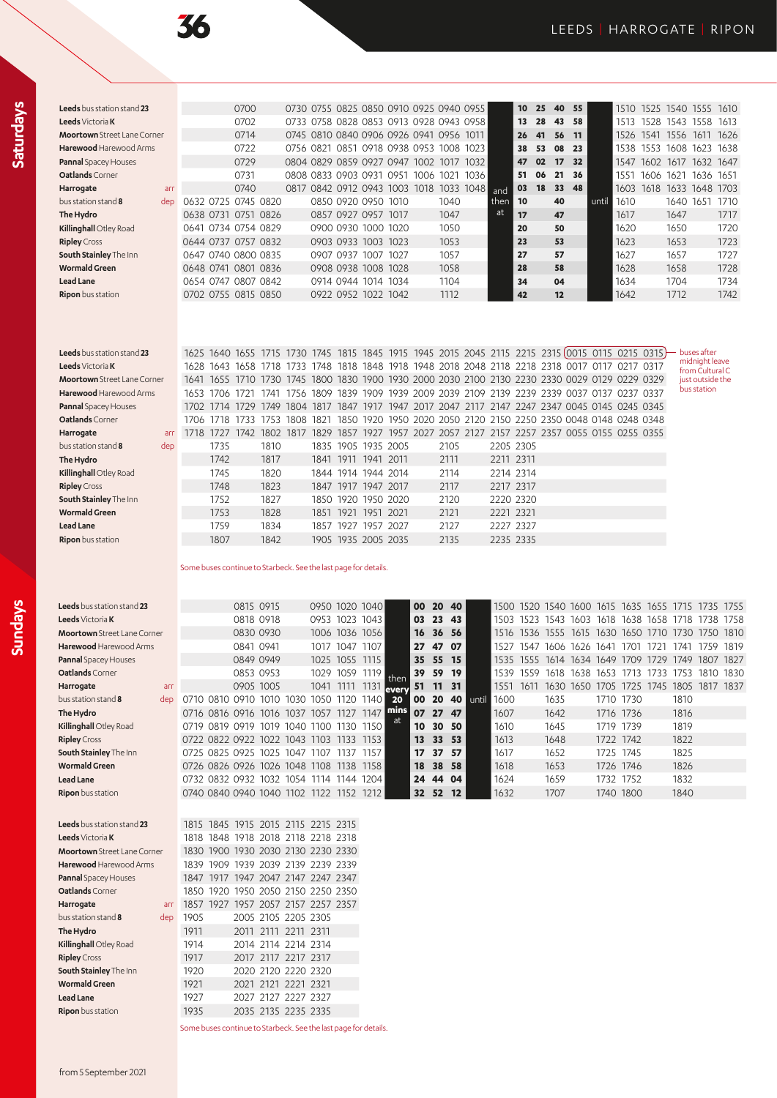**Sundays**

| <b>Leeds</b> bus station stand 23  |     |                     | 0700 |                                    |           |           |                     |                                         |      |      | 0730 0755 0825 0850 0910 0925 0940 0955 |      | 10 <sup>10</sup> | 25 | 40 | 55  |       | 1510 | 1525 1540 1555 |           |                | 1610 |
|------------------------------------|-----|---------------------|------|------------------------------------|-----------|-----------|---------------------|-----------------------------------------|------|------|-----------------------------------------|------|------------------|----|----|-----|-------|------|----------------|-----------|----------------|------|
| <b>Leeds</b> Victoria <b>K</b>     |     |                     | 0702 |                                    |           |           |                     |                                         |      |      | 0733 0758 0828 0853 0913 0928 0943 0958 |      | 13               | 28 | 43 | 58  |       | 1513 | 1528           |           | 1543 1558      | 1613 |
| <b>Moortown</b> Street Lane Corner |     |                     | 0714 |                                    |           |           |                     | 0745 0810 0840 0906 0926 0941 0956 1011 |      |      |                                         |      | 26               | 41 | 56 | 11  |       | 1526 | 1541           | 1556 1611 |                | 1626 |
| <b>Harewood</b> Harewood Arms      |     |                     | 0722 |                                    | 0756 0821 |           |                     | 0851 0918 0938 0953 1008                |      |      | 1023                                    |      | 38               | 53 | 08 | -23 |       | 1538 | 1553           |           | 1608 1623      | 1638 |
| <b>Pannal Spacey Houses</b>        |     |                     | 0729 | 0804 0829 0859 0927 0947 1002 1017 |           |           |                     |                                         |      |      | 1032 I                                  |      | 47               | 02 | 17 | 32  |       | 1547 | 1602           |           | 1617 1632 1647 |      |
| Oatlands Corner                    |     |                     | 0731 |                                    |           |           | 0808 0833 0903 0931 | 0951                                    | 1006 | 1021 | 1036                                    |      | 51               | 06 | 21 | 36  |       | 1551 | 1606           | 1621      | 1636           | 1651 |
| Harrogate                          | arr |                     | 0740 |                                    |           |           |                     | 0817 0842 0912 0943 1003 1018           |      |      | 1033 1048                               | and  | 03               | 18 | 33 | 48  |       | 1603 | 1618           |           | 1633 1648 1703 |      |
| bus station stand 8                | dep | 0632 0725 0745 0820 |      |                                    |           |           |                     | 0850 0920 0950 1010                     |      | 1040 |                                         | then | 10               |    | 40 |     | until | 1610 |                | 1640      | 1651           | 1710 |
| The Hydro                          |     | 0638 0731 0751 0826 |      |                                    |           |           | 0857 0927 0957      | 1017                                    |      | 1047 |                                         | at   | 17               |    | 47 |     |       | 1617 |                | 1647      |                | 1717 |
| Killinghall Otley Road             |     | 0641 0734 0754 0829 |      |                                    |           |           |                     | 0900 0930 1000 1020                     |      | 1050 |                                         |      | 20               |    | 50 |     |       | 1620 |                | 1650      |                | 1720 |
| <b>Ripley</b> Cross                |     | 0644 0737 0757 0832 |      |                                    |           |           | 0903 0933 1003 1023 |                                         |      | 1053 |                                         |      | 23               |    | 53 |     |       | 1623 |                | 1653      |                | 1723 |
| South Stainley The Inn             |     | 0647 0740 0800 0835 |      |                                    |           | 0907 0937 | 1007                | 1027                                    |      | 1057 |                                         |      | 27               |    | 57 |     |       | 1627 |                | 1657      |                | 1727 |
| <b>Wormald Green</b>               |     | 0648 0741 0801 0836 |      |                                    |           |           | 0908 0938 1008 1028 |                                         |      | 1058 |                                         |      | 28               |    | 58 |     |       | 1628 |                | 1658      |                | 1728 |
| <b>Lead Lane</b>                   |     | 0654 0747 0807 0842 |      |                                    |           |           |                     | 0914 0944 1014 1034                     |      | 1104 |                                         |      | 34               |    | 04 |     |       | 1634 |                | 1704      |                | 1734 |
| <b>Ripon</b> bus station           |     | 0702 0755 0815 0850 |      |                                    |           |           | 0922 0952 1022 1042 |                                         |      | 1112 |                                         |      | 42               |    | 12 |     |       | 1642 |                | 1712      |                | 1742 |
|                                    |     |                     |      |                                    |           |           |                     |                                         |      |      |                                         |      |                  |    |    |     |       |      |                |           |                |      |

| Leeds bus station stand 23         |     |       |                |      |                     |      |                     |           |  |      |           |           |  | 1625 1640 1655 1715 1730 1745 1815 1845 1915 1945 2015 2045 2115 2215 2315(0015 0115 0215 0315) | buses after<br>midnight leave |
|------------------------------------|-----|-------|----------------|------|---------------------|------|---------------------|-----------|--|------|-----------|-----------|--|-------------------------------------------------------------------------------------------------|-------------------------------|
| <b>Leeds</b> Victoria <b>K</b>     |     |       |                |      |                     |      |                     |           |  |      |           |           |  | 1628 1643 1658 1718 1733 1748 1818 1848 1918 1948 2018 2048 2118 2218 2318 0017 0117 0217 0317  | from Cultural C               |
| <b>Moortown</b> Street Lane Corner |     |       |                |      |                     |      |                     |           |  |      |           |           |  | 1641 1655 1710 1730 1745 1800 1830 1900 1930 2000 2030 2100 2130 2230 2330 0029 0129 0229 0329  | just outside the              |
| <b>Harewood</b> Harewood Arms      |     |       | 1653 1706 1721 |      | 1741                |      |                     |           |  |      |           |           |  | 1756 1809 1839 1909 1939 2009 2039 2109 2139 2239 2339 0037 0137 0237 0337                      | bus station                   |
| Pannal Spacey Houses               |     |       | 1702 1714      | 1729 |                     |      |                     |           |  |      |           |           |  | 1749 1804 1817 1847 1917 1947 2017 2047 2117 2147 2247 2347 0045 0145 0245 0345                 |                               |
| Oatlands Corner                    |     | 1706. | 1718           |      | 1733 1753 1808 1821 |      |                     |           |  |      |           |           |  | 1850 1920 1950 2020 2050 2120 2150 2250 2350 0048 0148 0248 0348                                |                               |
| Harrogate                          | arr | 1718  | 1727           | 1742 | 1802                | 1817 |                     |           |  |      |           |           |  | 1829 1857 1927 1957 2027 2057 2127 2157 2257 2357 0055 0155 0255 0355                           |                               |
| bus station stand ${\bf 8}$        | dep |       | 1735           |      | 1810                |      | 1835 1905 1935 2005 |           |  | 2105 | 2205 2305 |           |  |                                                                                                 |                               |
| The Hydro                          |     |       | 1742           |      | 1817                |      | 1841 1911           | 1941 2011 |  | 2111 | 2211 2311 |           |  |                                                                                                 |                               |
| Killinghall Otley Road             |     |       | 1745           |      | 1820                |      | 1844 1914 1944 2014 |           |  | 2114 | 2214 2314 |           |  |                                                                                                 |                               |
| <b>Ripley</b> Cross                |     |       | 1748           |      | 1823                |      | 1847 1917 1947 2017 |           |  | 2117 | 2217 2317 |           |  |                                                                                                 |                               |
| South Stainley The Inn             |     |       | 1752           |      | 1827                |      | 1850 1920 1950 2020 |           |  | 2120 |           | 2220 2320 |  |                                                                                                 |                               |
| <b>Wormald Green</b>               |     |       | 1753           |      | 1828                |      | 1851 1921 1951 2021 |           |  | 2121 | 2221 2321 |           |  |                                                                                                 |                               |
| <b>Lead Lane</b>                   |     |       | 1759           |      | 1834                |      | 1857 1927           | 1957 2027 |  | 2127 | 2227 2327 |           |  |                                                                                                 |                               |
| <b>Ripon</b> bus station           |     |       | 1807           |      | 1842                |      | 1905 1935 2005 2035 |           |  | 2135 | 2235 2335 |           |  |                                                                                                 |                               |
|                                    |     |       |                |      |                     |      |                     |           |  |      |           |           |  |                                                                                                 |                               |

Some buses continue to Starbeck. See the last page for details.

| <b>Leeds</b> bus station stand 23  |                                         |                | 0815 0915 |                                         |      |                |                | 0950 1020 1040 |        | 00              |          | 20 40 |                    |      |      |                |                     |      | 1500 1520 1540 1600 1615 1635 1655 1715 |      |      | 1735 1755 |      |
|------------------------------------|-----------------------------------------|----------------|-----------|-----------------------------------------|------|----------------|----------------|----------------|--------|-----------------|----------|-------|--------------------|------|------|----------------|---------------------|------|-----------------------------------------|------|------|-----------|------|
| Leeds Victoria K                   |                                         |                | 0818 0918 |                                         |      | 0953           | 1023           | 1043           |        |                 | 03 23 43 |       |                    | 1503 |      | 1523 1543 1603 |                     |      | 1618 1638 1658 1718                     |      |      | 1738      | 1758 |
| <b>Moortown</b> Street Lane Corner |                                         |                | 0830 0930 |                                         |      |                |                | 1006 1036 1056 |        | 16              | 36 56    |       |                    | 1516 | 1536 | 1555           |                     |      | 1615 1630 1650                          | 1710 | 1730 | 1750      | 1810 |
| Harewood Harewood Arms             |                                         |                | 0841 0941 |                                         |      | 1017           | 1047           | 1107           |        | 27              | 47       | -07   |                    | 1527 | 1547 | 1606 1626 1641 |                     |      | 1701                                    | 1721 | 1741 | 1759      | 1819 |
| <b>Pannal</b> Spacey Houses        |                                         |                | 0849 0949 |                                         |      |                | 1025 1055 1115 |                |        | 35              | 55       | - 15  |                    | 1535 |      |                |                     |      | 1555 1614 1634 1649 1709                | 1729 | 1749 | 1807      | 1827 |
| <b>Oatlands</b> Corner             |                                         |                | 0853 0953 |                                         |      | 1029           | 1059           | 1119 I         | then   | 39              | 59       | 19    |                    | 1539 | 1559 |                | 1618 1638 1653 1713 |      |                                         | 1733 | 1753 | 1810      | 1830 |
| Harrogate<br>arr                   |                                         |                | 0905 1005 |                                         |      | 1041 1111      |                | 1131           | levery | 51              | 11 31    |       |                    | 1551 | 1611 |                | 1630 1650           | 1705 | 1725                                    | 1745 | 1805 | 1817 1837 |      |
| bus station stand <b>8</b><br>dep  |                                         |                |           | 0710 0810 0910 1010                     | 1030 |                |                | 1050 1120 1140 | 20     | 00 <sup>1</sup> |          |       | <b>20 40 until</b> | 1600 |      | 1635           |                     |      | 1710 1730                               |      | 1810 |           |      |
| The Hydro                          |                                         |                |           | 0716 0816 0916 1016 1037                |      | 1057 1127 1147 |                |                | mins   | 07              | 27       | 47    |                    | 1607 |      | 1642           |                     |      | 1716 1736                               |      | 1816 |           |      |
| Killinghall Otley Road             |                                         | 0719 0819 0919 |           | 1019 1040 1100 1130 1150                |      |                |                |                | at     | 10              | 30       | -50   |                    | 1610 |      | 1645           |                     |      | 1719 1739                               |      | 1819 |           |      |
| <b>Ripley</b> Cross                |                                         |                |           | 0722 0822 0922 1022                     | 1043 | 1103           | 1133           | 1153           |        | 13              | 33       | 53    |                    | 1613 |      | 1648           |                     |      | 1722 1742                               |      | 1822 |           |      |
| <b>South Stainley</b> The Inn      | 0725 0825 0925                          |                |           | 1025                                    | 1047 | 1107           | 1137           | 1157           |        | 17 <sub>2</sub> | 37       | 57    |                    | 1617 |      | 1652           |                     |      | 1725 1745                               |      | 1825 |           |      |
| <b>Wormald Green</b>               | 0726 0826 0926 1026 1048 1108 1138 1158 |                |           |                                         |      |                |                |                |        | 18              | 38 58    |       |                    | 1618 |      | 1653           |                     |      | 1726 1746                               |      | 1826 |           |      |
| <b>Lead Lane</b>                   |                                         |                |           | 0732 0832 0932 1032 1054 1114 1144 1204 |      |                |                |                |        | 24              | 44       | -04   |                    | 1624 |      | 1659           |                     |      | 1732 1752                               |      | 1832 |           |      |
| Ripon bus station                  |                                         |                |           | 0740 0840 0940 1040 1102 1122 1152 1212 |      |                |                |                |        | 32 <sub>2</sub> | 52       | 12    |                    | 1632 |      | 1707           |                     |      | 1740 1800                               |      | 1840 |           |      |
|                                    |                                         |                |           |                                         |      |                |                |                |        |                 |          |       |                    |      |      |                |                     |      |                                         |      |      |           |      |
| <b>Leeds</b> bus station stand 23  |                                         |                |           | 1815 1845 1915 2015 2115 2215 2315      |      |                |                |                |        |                 |          |       |                    |      |      |                |                     |      |                                         |      |      |           |      |
| Leeds Victoria K                   | 1818                                    | 1848           |           | 1918 2018 2118 2218 2318                |      |                |                |                |        |                 |          |       |                    |      |      |                |                     |      |                                         |      |      |           |      |
| <b>Moortown</b> Street Lane Corner | 1830                                    |                |           | 1900 1930 2030 2130 2230 2330           |      |                |                |                |        |                 |          |       |                    |      |      |                |                     |      |                                         |      |      |           |      |
|                                    |                                         |                |           |                                         |      |                |                |                |        |                 |          |       |                    |      |      |                |                     |      |                                         |      |      |           |      |

| ויוסטו נטאוו אנוככנבטווכ כטוווכו |      |  |                     | UCCS UCSS UCIS UCUS UCTI UUTI UCUI |  |
|----------------------------------|------|--|---------------------|------------------------------------|--|
| Harewood Harewood Arms           |      |  |                     | 1839 1909 1939 2039 2139 2239 2339 |  |
| Pannal Spacey Houses             |      |  |                     | 1847 1917 1947 2047 2147 2247 2347 |  |
| Oatlands Corner                  |      |  |                     | 1850 1920 1950 2050 2150 2250 2350 |  |
| Harrogate<br>arr                 |      |  |                     | 1857 1927 1957 2057 2157 2257 2357 |  |
| bus station stand 8<br>dep       | 1905 |  | 2005 2105 2205 2305 |                                    |  |
| The Hydro                        | 1911 |  | 2011 2111 2211 2311 |                                    |  |
| Killinghall Otley Road           | 1914 |  | 2014 2114 2214 2314 |                                    |  |
| <b>Ripley</b> Cross              | 1917 |  | 2017 2117 2217 2317 |                                    |  |
| South Stainley The Inn           | 1920 |  | 2020 2120 2220 2320 |                                    |  |
| <b>Wormald Green</b>             | 1921 |  | 2021 2121 2221 2321 |                                    |  |
| <b>Lead Lane</b>                 | 1927 |  | 2027 2127 2227 2327 |                                    |  |
| Ripon bus station                | 1935 |  | 2035 2135 2235 2335 |                                    |  |

Some buses continue to Starbeck. See the last page for details.